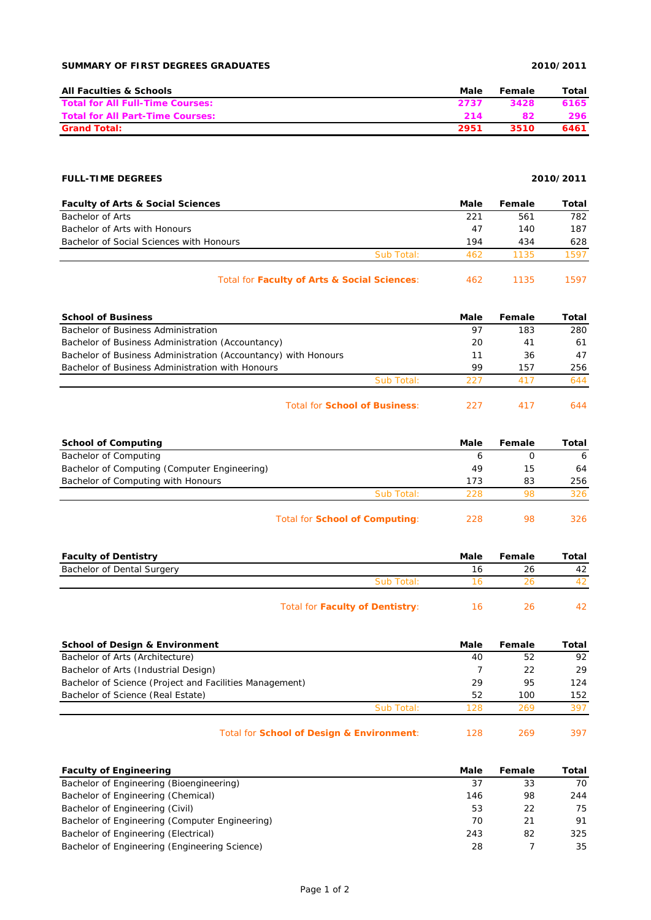# **SUMMARY OF FIRST DEGREES GRADUATES 2010/2011**

| <b>All Faculties &amp; Schools</b>      | Male | Female | Total |
|-----------------------------------------|------|--------|-------|
| <b>Total for All Full-Time Courses:</b> | 2737 | 3428   | 6165  |
| <b>Total for All Part-Time Courses:</b> | 214  |        | 296.  |
| <b>Grand Total:</b>                     | 2951 | 3510   | 6461  |

## **FULL-TIME DEGREES 2010/2011**

| <b>Faculty of Arts &amp; Social Sciences</b> |            | Male | Female | Total |
|----------------------------------------------|------------|------|--------|-------|
| Bachelor of Arts                             |            | 221  | 561    | 782   |
| Bachelor of Arts with Honours                |            | 47   | 140    | 187   |
| Bachelor of Social Sciences with Honours     |            | 194  | 434    | 628   |
|                                              | Sub Total: | 462  | 1135   | 1597  |
|                                              |            |      |        |       |

| Total for Faculty of Arts & Social Sciences: | 1135 | 1597 |
|----------------------------------------------|------|------|
|                                              |      |      |

| <b>School of Business</b>                                      |            | Male | Female | Total |
|----------------------------------------------------------------|------------|------|--------|-------|
| Bachelor of Business Administration                            |            | 97   | 183    | 280   |
| Bachelor of Business Administration (Accountancy)              |            | 20   | 41     | 61    |
| Bachelor of Business Administration (Accountancy) with Honours |            | 11   | 36     | 47    |
| Bachelor of Business Administration with Honours               |            | 99   | 157    | 256   |
|                                                                | Sub Total: | 227  | 417    | 644   |
|                                                                |            |      |        |       |

| Total for <b>School of Business:</b> | 227 |  |  |
|--------------------------------------|-----|--|--|
|--------------------------------------|-----|--|--|

| <b>School of Computing</b>                   |                                       | Male | Female | Total |
|----------------------------------------------|---------------------------------------|------|--------|-------|
| Bachelor of Computing                        |                                       | b    |        | -6    |
| Bachelor of Computing (Computer Engineering) |                                       | 49   | 15     | 64    |
| Bachelor of Computing with Honours           |                                       | 173  | 83     | 256   |
|                                              | Sub Total:                            | 228  | 98     | 326   |
|                                              | Total for <b>School of Computing:</b> | 228  | 98     | 326.  |

| <b>Faculty of Dentistry</b> |                                 | Male         | Female | Total |
|-----------------------------|---------------------------------|--------------|--------|-------|
| Bachelor of Dental Surgery  |                                 | 16           | 26     | 42    |
|                             | Sub Total:                      |              |        |       |
|                             | Total for Faculty of Dentistry: | <sup>6</sup> | 26     |       |

| School of Design & Environment                          |            | Male | Female | Total |
|---------------------------------------------------------|------------|------|--------|-------|
| Bachelor of Arts (Architecture)                         |            | 40   | 52     | 92    |
| Bachelor of Arts (Industrial Design)                    |            |      | 22     | 29    |
| Bachelor of Science (Project and Facilities Management) |            | 29   | 95     | 124   |
| Bachelor of Science (Real Estate)                       |            | 52   | 100    | 152   |
|                                                         | Sub Total: | 128  | 269    | 397   |
|                                                         |            |      |        |       |

| Total for School of Design & Environment: | 128 |  | 397 |
|-------------------------------------------|-----|--|-----|
|-------------------------------------------|-----|--|-----|

| <b>Faculty of Engineering</b>                  | Male | Female | Total |
|------------------------------------------------|------|--------|-------|
| Bachelor of Engineering (Bioengineering)       | 37   | 33     | 70    |
| Bachelor of Engineering (Chemical)             | 146  | 98     | 244   |
| Bachelor of Engineering (Civil)                | 53   | 22     | 75    |
| Bachelor of Engineering (Computer Engineering) | 70   | 21     | 91    |
| Bachelor of Engineering (Electrical)           | 243  | 82     | 325   |
| Bachelor of Engineering (Engineering Science)  | 28   |        | 35    |